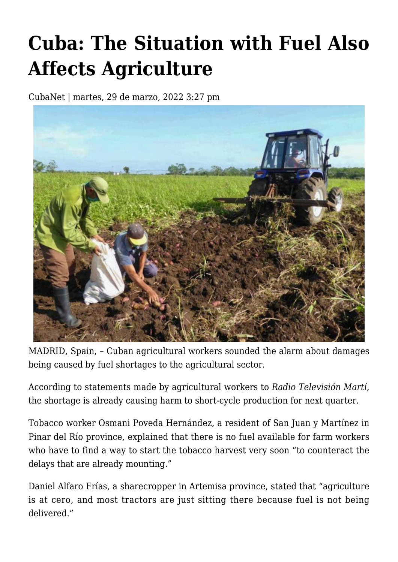## **[Cuba: The Situation with Fuel Also](https://www.cubanet.org/english/cuba-the-situation-with-fuel-also-affects-agriculture/) [Affects Agriculture](https://www.cubanet.org/english/cuba-the-situation-with-fuel-also-affects-agriculture/)**

CubaNet | martes, 29 de marzo, 2022 3:27 pm



MADRID, Spain, – Cuban agricultural workers sounded the alarm about damages being caused by fuel shortages to the agricultural sector.

According to statements made by agricultural workers to *Radio Televisión Martí*, the shortage is already causing harm to short-cycle production for next quarter.

Tobacco worker Osmani Poveda Hernández, a resident of San Juan y Martínez in Pinar del Río province, explained that there is no fuel available for farm workers who have to find a way to start the tobacco harvest very soon "to counteract the delays that are already mounting."

Daniel Alfaro Frías, a sharecropper in Artemisa province, stated that "agriculture is at cero, and most tractors are just sitting there because fuel is not being delivered."